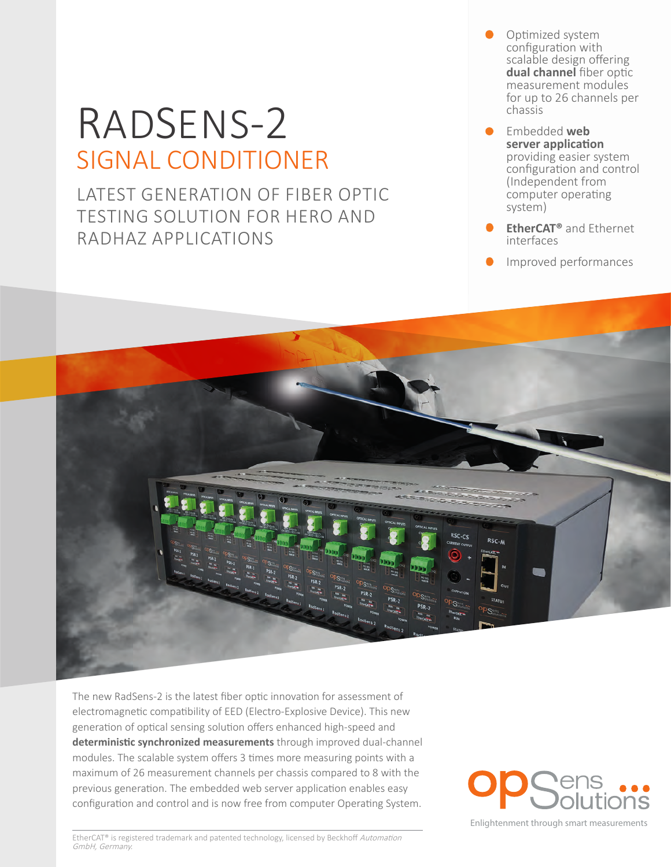# RADSENS-2 SIGNAL CONDITIONER

LATEST GENERATION OF FIBER OPTIC TESTING SOLUTION FOR HERO AND RADHAZ APPLICATIONS

- Optimized system configuration with scalable design offering **dual channel** fiber optic measurement modules for up to 26 channels per chassis
- Embedded **web server application** providing easier system configuration and control (Independent from computer operating system)
- **EtherCAT®** and Ethernet interfaces
- **Improved performances**



The new RadSens-2 is the latest fiber optic innovation for assessment of electromagnetic compatibility of EED (Electro-Explosive Device). This new generation of optical sensing solution offers enhanced high-speed and **deterministic synchronized measurements** through improved dual-channel modules. The scalable system offers 3 times more measuring points with a maximum of 26 measurement channels per chassis compared to 8 with the previous generation. The embedded web server application enables easy configuration and control and is now free from computer Operating System.

Enlightenment through smart measurements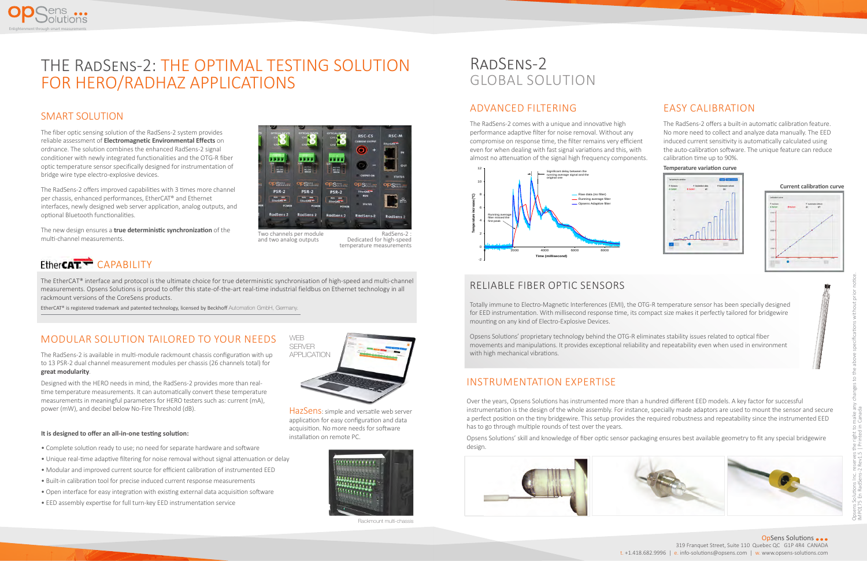#### ADVANCED FILTERING

The RadSens-2 comes with a unique and innovative high performance adaptive filter for noise removal. Without any compromise on response time, the filter remains very efficient even for when dealing with fast signal variations and this, with almost no attenuation of the signal high frequency components.

Two channels per module and two analog outputs

> OpSens Solutions ••• 319 Franquet Street, Suite 110 Quebec QC G1P 4R4 CANADA t. +1.418.682.9996 | e. info-solutions@opsens.com | w. www.opsens-solutions.com

#### MODULAR SOLUTION TAILORED TO YOUR NEEDS

The RadSens-2 is available in multi-module rackmount chassis configuration with up to 13 PSR-2 dual channel measurement modules per chassis (26 channels total) for **great modularity**.

Designed with the HERO needs in mind, the RadSens-2 provides more than realtime temperature measurements. It can automatically convert these temperature measurements in meaningful parameters for HERO testers such as: current (mA), power (mW), and decibel below No-Fire Threshold (dB).

## THE RadSens-2: THE OPTIMAL TESTING SOLUTION FOR HERO/RADHAZ APPLICATIONS

#### SMART SOLUTION

The fiber optic sensing solution of the RadSens-2 system provides reliable assessment of **Electromagnetic Environmental Effects** on ordnance. The solution combines the enhanced RadSens-2 signal conditioner with newly integrated functionalities and the OTG-R fiber optic temperature sensor specifically designed for instrumentation of bridge wire type electro-explosive devices.

The RadSens-2 offers improved capabilities with 3 times more channel per chassis, enhanced performances, EtherCAT® and Ethernet interfaces, newly designed web server application, analog outputs, and optional Bluetooth functionalities.

The new design ensures a **true deterministic synchronization** of the multi-channel measurements.



### RadSens-2 GLOBAL SOLUTION

Enlightenment through smart measurements

ens<br>Jolutions

RadSens-2 : Dedicated for high-speed temperature measurements

### EtherCAT<sup>-</sup> CAPABILITY

#### INSTRUMENTATION EXPERTISE

Over the years, Opsens Solutions has instrumented more than a hundred different EED models. A key factor for successful instrumentation is the design of the whole assembly. For instance, specially made adaptors are used to mount the sensor and secure a perfect position on the tiny bridgewire. This setup provides the required robustness and repeatability since the instrumented EED has to go through multiple rounds of test over the years.

Opsens Solutions' skill and knowledge of fiber optic sensor packaging ensures best available geometry to fit any special bridgewire design.



#### EASY CALIBRATION

The RadSens-2 offers a built-in automatic calibration feature. No more need to collect and analyze data manually. The EED induced current sensitivity is automatically calculated using the auto-calibration software. The unique feature can reduce calibration time up to 90%.

#### RELIABLE FIBER OPTIC SENSORS

Totally immune to Electro-Magnetic Interferences (EMI), the OTG-R temperature sensor has been specially designed for EED instrumentation. With millisecond response time, its compact size makes it perfectly tailored for bridgewire mounting on any kind of Electro-Explosive Devices.

Opsens Solutions' proprietary technology behind the OTG-R eliminates stability issues related to optical fiber movements and manipulations. It provides exceptional reliability and repeatability even when used in environment with high mechanical vibrations.

#### **It is designed to offer an all-in-one testing solution:**

- Complete solution ready to use; no need for separate hardware and software
- Unique real-time adaptive filtering for noise removal without signal attenuation or delay
- Modular and improved current source for efficient calibration of instrumented EED
- Built-in calibration tool for precise induced current response measurements
- Open interface for easy integration with existing external data acquisition software
- EED assembly expertise for full turn-key EED instrumentation service



**Temperature variation curve** 



Rackmount multi-chassis









The EtherCAT® interface and protocol is the ultimate choice for true deterministic synchronisation of high-speed and multi-channel measurements. Opsens Solutions is proud to offer this state-of-the-art real-time industrial fieldbus on Ethernet technology in all rackmount versions of the CoreSens products.

EtherCAT® is registered trademark and patented technology, licensed by Beckhoff Automation GmbH, Germany.

HazSens: simple and versatile web server application for easy configuration and data acquisition. No more needs for software installation on remote PC.